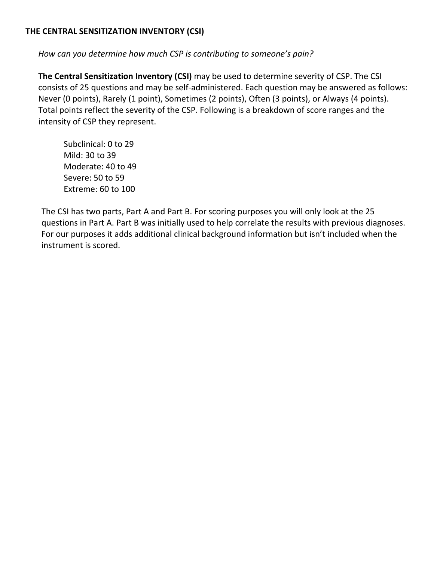## **THE CENTRAL SENSITIZATION INVENTORY (CSI)**

*How can you determine how much CSP is contributing to someone's pain?*

**The Central Sensitization Inventory (CSI)** may be used to determine severity of CSP. The CSI consists of 25 questions and may be self‐administered. Each question may be answered as follows: Never (0 points), Rarely (1 point), Sometimes (2 points), Often (3 points), or Always (4 points). Total points reflect the severity of the CSP. Following is a breakdown of score ranges and the intensity of CSP they represent.

Subclinical: 0 to 29 Mild: 30 to 39 Moderate: 40 to 49 Severe: 50 to 59 Extreme: 60 to 100

The CSI has two parts, Part A and Part B. For scoring purposes you will only look at the 25 questions in Part A. Part B was initially used to help correlate the results with previous diagnoses. For our purposes it adds additional clinical background information but isn't included when the instrument is scored.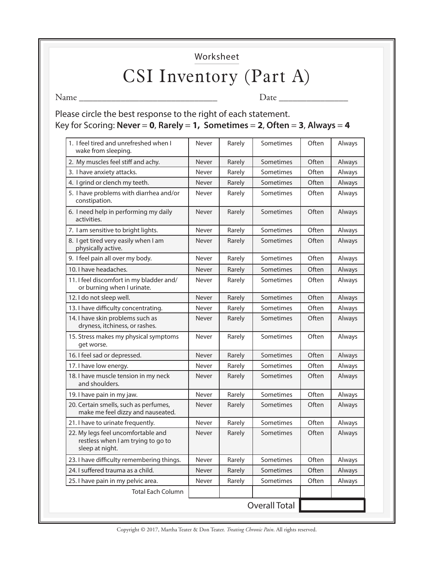Worksheet

## CSI Inventory (Part A)

Name \_\_\_\_\_\_\_\_\_\_\_\_\_\_\_\_\_\_\_\_\_\_\_\_\_\_\_\_\_\_ Date \_\_\_\_\_\_\_\_\_\_\_\_\_\_\_

Please circle the best response to the right of each statement. Key for Scoring: **Never** = **0**, **Rarely** = **1, Sometimes** = **2**, **Often** = **3**, **Always** = **4**

| 1. I feel tired and unrefreshed when I<br>wake from sleeping.                               | Never | Rarely | Sometimes            | Often | Always |
|---------------------------------------------------------------------------------------------|-------|--------|----------------------|-------|--------|
| 2. My muscles feel stiff and achy.                                                          | Never | Rarely | Sometimes            | Often | Always |
| 3. I have anxiety attacks.                                                                  | Never | Rarely | Sometimes            | Often | Always |
| 4. I grind or clench my teeth.                                                              | Never | Rarely | Sometimes            | Often | Always |
| 5. I have problems with diarrhea and/or<br>constipation.                                    | Never | Rarely | Sometimes            | Often | Always |
| 6. I need help in performing my daily<br>activities.                                        | Never | Rarely | Sometimes            | Often | Always |
| 7. I am sensitive to bright lights.                                                         | Never | Rarely | Sometimes            | Often | Always |
| 8. I get tired very easily when I am<br>physically active.                                  | Never | Rarely | Sometimes            | Often | Always |
| 9. I feel pain all over my body.                                                            | Never | Rarely | Sometimes            | Often | Always |
| 10. I have headaches.                                                                       | Never | Rarely | Sometimes            | Often | Always |
| 11. I feel discomfort in my bladder and/<br>or burning when I urinate.                      | Never | Rarely | Sometimes            | Often | Always |
| 12. I do not sleep well.                                                                    | Never | Rarely | Sometimes            | Often | Always |
| 13. I have difficulty concentrating.                                                        | Never | Rarely | Sometimes            | Often | Always |
| 14. I have skin problems such as<br>dryness, itchiness, or rashes.                          | Never | Rarely | Sometimes            | Often | Always |
| 15. Stress makes my physical symptoms<br>get worse.                                         | Never | Rarely | Sometimes            | Often | Always |
| 16. I feel sad or depressed.                                                                | Never | Rarely | Sometimes            | Often | Always |
| 17. I have low energy.                                                                      | Never | Rarely | Sometimes            | Often | Always |
| 18. I have muscle tension in my neck<br>and shoulders.                                      | Never | Rarely | Sometimes            | Often | Always |
| 19. I have pain in my jaw.                                                                  | Never | Rarely | Sometimes            | Often | Always |
| 20. Certain smells, such as perfumes,<br>make me feel dizzy and nauseated.                  | Never | Rarely | Sometimes            | Often | Always |
| 21. I have to urinate frequently.                                                           | Never | Rarely | Sometimes            | Often | Always |
| 22. My legs feel uncomfortable and<br>restless when I am trying to go to<br>sleep at night. | Never | Rarely | Sometimes            | Often | Always |
| 23. I have difficulty remembering things.                                                   | Never | Rarely | Sometimes            | Often | Always |
| 24. I suffered trauma as a child.                                                           | Never | Rarely | Sometimes            | Often | Always |
| 25. I have pain in my pelvic area.                                                          | Never | Rarely | Sometimes            | Often | Always |
| <b>Total Each Column</b>                                                                    |       |        |                      |       |        |
|                                                                                             |       |        | <b>Overall Total</b> |       |        |

Copyright © 2017, Martha Teater & Don Teater. *Treating Chronic Pain*. All rights reserved.